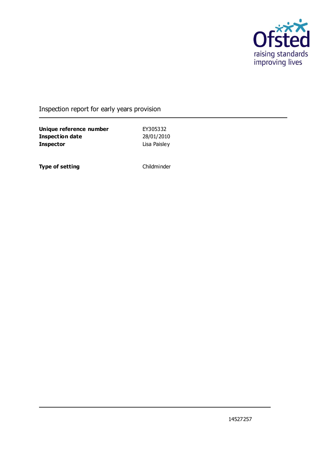

### Inspection report for early years provision

**Unique reference number** EY305332 **Inspection date** 28/01/2010 **Inspector** Lisa Paisley

**Type of setting** Childminder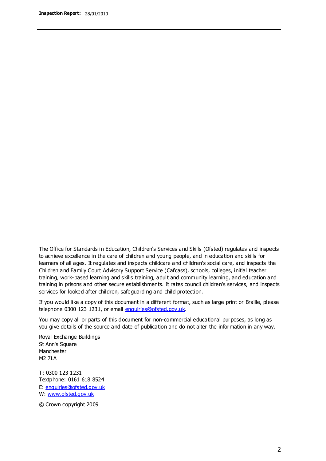The Office for Standards in Education, Children's Services and Skills (Ofsted) regulates and inspects to achieve excellence in the care of children and young people, and in education and skills for learners of all ages. It regulates and inspects childcare and children's social care, and inspects the Children and Family Court Advisory Support Service (Cafcass), schools, colleges, initial teacher training, work-based learning and skills training, adult and community learning, and education and training in prisons and other secure establishments. It rates council children's services, and inspects services for looked after children, safeguarding and child protection.

If you would like a copy of this document in a different format, such as large print or Braille, please telephone 0300 123 1231, or email enquiries@ofsted.gov.uk.

You may copy all or parts of this document for non-commercial educational purposes, as long as you give details of the source and date of publication and do not alter the information in any way.

Royal Exchange Buildings St Ann's Square Manchester M2 7LA

T: 0300 123 1231 Textphone: 0161 618 8524 E: enquiries@ofsted.gov.uk W: [www.ofsted.gov.uk](http://www.ofsted.gov.uk/)

© Crown copyright 2009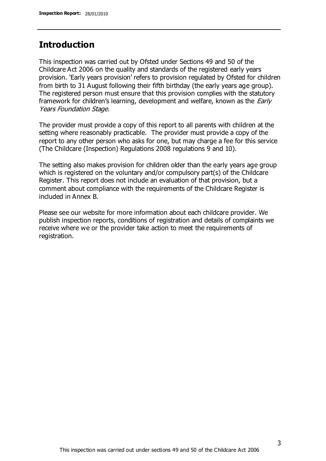### **Introduction**

This inspection was carried out by Ofsted under Sections 49 and 50 of the Childcare Act 2006 on the quality and standards of the registered early years provision. 'Early years provision' refers to provision regulated by Ofsted for children from birth to 31 August following their fifth birthday (the early years age group). The registered person must ensure that this provision complies with the statutory framework for children's learning, development and welfare, known as the *Early* Years Foundation Stage.

The provider must provide a copy of this report to all parents with children at the setting where reasonably practicable. The provider must provide a copy of the report to any other person who asks for one, but may charge a fee for this service (The Childcare (Inspection) Regulations 2008 regulations 9 and 10).

The setting also makes provision for children older than the early years age group which is registered on the voluntary and/or compulsory part(s) of the Childcare Register. This report does not include an evaluation of that provision, but a comment about compliance with the requirements of the Childcare Register is included in Annex B.

Please see our website for more information about each childcare provider. We publish inspection reports, conditions of registration and details of complaints we receive where we or the provider take action to meet the requirements of registration.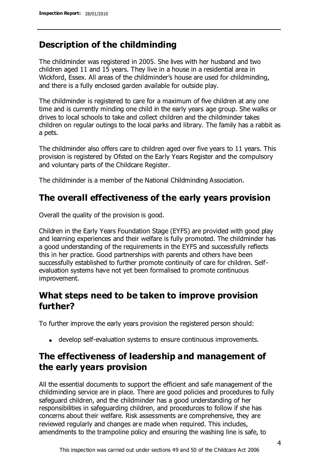### **Description of the childminding**

The childminder was registered in 2005. She lives with her husband and two children aged 11 and 15 years. They live in a house in a residential area in Wickford, Essex. All areas of the childminder's house are used for childminding, and there is a fully enclosed garden available for outside play.

The childminder is registered to care for a maximum of five children at any one time and is currently minding one child in the early years age group. She walks or drives to local schools to take and collect children and the childminder takes children on regular outings to the local parks and library. The family has a rabbit as a pets.

The childminder also offers care to children aged over five years to 11 years. This provision is registered by Ofsted on the Early Years Register and the compulsory and voluntary parts of the Childcare Register.

The childminder is a member of the National Childminding Association.

## **The overall effectiveness of the early years provision**

Overall the quality of the provision is good.

Children in the Early Years Foundation Stage (EYFS) are provided with good play and learning experiences and their welfare is fully promoted. The childminder has a good understanding of the requirements in the EYFS and successfully reflects this in her practice. Good partnerships with parents and others have been successfully established to further promote continuity of care for children. Selfevaluation systems have not yet been formalised to promote continuous improvement.

## **What steps need to be taken to improve provision further?**

To further improve the early years provision the registered person should:

develop self-evaluation systems to ensure continuous improvements.

## **The effectiveness of leadership and management of the early years provision**

All the essential documents to support the efficient and safe management of the childminding service are in place. There are good policies and procedures to fully safeguard children, and the childminder has a good understanding of her responsibilities in safeguarding children, and procedurces to follow if she has concerns about their welfare. Risk assessments are comprehensive, they are reviewed regularly and changes are made when required. This includes, amendments to the trampoline policy and ensuring the washing line is safe, to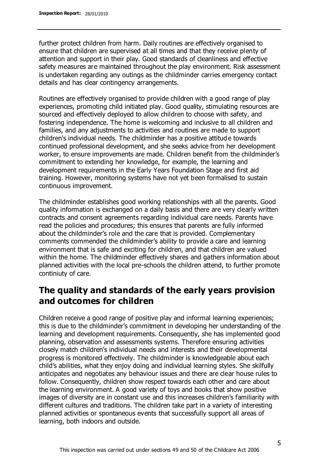further protect children from harm. Daily routines are effectively organised to ensure that children are supervised at all times and that they receive plenty of attention and support in their play. Good standards of cleanliness and effective safety measures are maintained throughout the play environment. Risk assessment is undertaken regarding any outings as the childminder carries emergency contact details and has clear contingency arrangements.

Routines are effectively organised to provide children with a good range of play experiences, promoting child initiated play. Good quality, stimulating resources are sourced and effectively deployed to allow children to choose with safety, and fostering independence. The home is welcoming and inclusive to all children and families, and any adjustments to activities and routines are made to support children's individual needs. The childminder has a positive attitude towards continued professional development, and she seeks advice from her development worker, to ensure improvements are made. Children benefit from the childminder's commitment to extending her knowledge, for example, the learning and development requirements in the Early Years Foundation Stage and first aid training. However, monitoring systems have not yet been formalised to sustain continuous improvement.

The childminder establishes good working relationships with all the parents. Good quality information is exchanged on a daily basis and there are very clearly written contracts and consent agreements regarding individual care needs. Parents have read the policies and procedures; this ensures that parents are fully informed about the childminder's role and the care that is provided. Complementary comments commended the childminder's ability to provide a care and learning environment that is safe and exciting for children, and that children are valued within the home. The childminder effectively shares and gathers information about planned activities with the local pre-schools the children attend, to further promote continiuty of care.

### **The quality and standards of the early years provision and outcomes for children**

Children receive a good range of positive play and informal learning experiences; this is due to the childminder's commitment in developing her understanding of the learning and development requirements. Consequently, she has implemented good planning, observation and assessments systems. Therefore ensuring activities closely match children's individual needs and interests and their developmental progress is monitored effectively. The childminder is knowledgeable about each child's abilities, what they enjoy doing and individual learning styles. She skilfully anticipates and negotiates any behaviour issues and there are clear house rules to follow. Consequently, children show respect towards each other and care about the learning environment. A good variety of toys and books that show positive images of diversity are in constant use and this increases children's familiarity with different cultures and traditions. The children take part in a variety of interesting planned activities or spontaneous events that successfully support all areas of learning, both indoors and outside.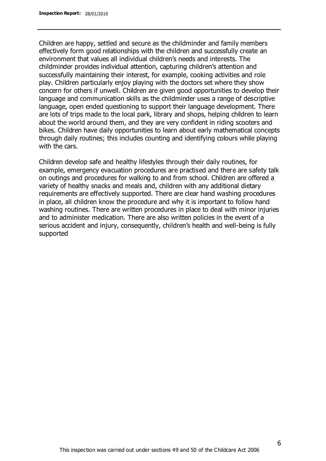Children are happy, settled and secure as the childminder and family members effectively form good relationships with the children and successfully create an environment that values all individual children's needs and interests. The childminder provides individual attention, capturing children's attention and successfully maintaining their interest, for example, cooking activities and role play. Children particularly enjoy playing with the doctors set where they show concern for others if unwell. Children are given good opportunities to develop their language and communication skills as the childminder uses a range of descriptive language, open ended questioning to support their language development. There are lots of trips made to the local park, library and shops, helping children to learn about the world around them, and they are very confident in riding scooters and bikes. Children have daily opportunities to learn about early mathematical concepts through daily routines; this includes counting and identifying colours while playing with the cars.

Children develop safe and healthy lifestyles through their daily routines, for example, emergency evacuation procedures are practised and there are safety talk on outings and procedures for walking to and from school. Children are offered a variety of healthy snacks and meals and, children with any additional dietary requirements are effectively supported. There are clear hand washing procedures in place, all children know the procedure and why it is important to follow hand washing routines. There are written procedures in place to deal with minor injuries and to administer medication. There are also written policies in the event of a serious accident and injury, consequently, children's health and well-being is fully supported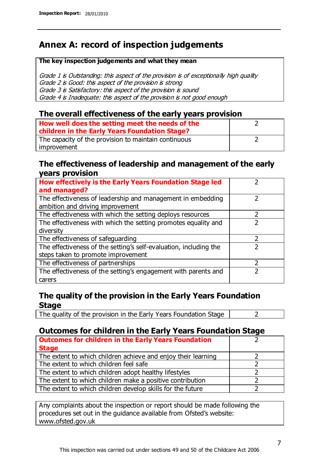## **Annex A: record of inspection judgements**

#### **The key inspection judgements and what they mean**

Grade 1 is Outstanding: this aspect of the provision is of exceptionally high quality Grade 2 is Good: this aspect of the provision is strong Grade 3 is Satisfactory: this aspect of the provision is sound Grade 4 is Inadequate: this aspect of the provision is not good enough

#### **The overall effectiveness of the early years provision**

| How well does the setting meet the needs of the<br>children in the Early Years Foundation Stage? |  |
|--------------------------------------------------------------------------------------------------|--|
| The capacity of the provision to maintain continuous                                             |  |
| improvement                                                                                      |  |

#### **The effectiveness of leadership and management of the early years provision**

| How effectively is the Early Years Foundation Stage led                                         |   |
|-------------------------------------------------------------------------------------------------|---|
| and managed?                                                                                    |   |
| The effectiveness of leadership and management in embedding<br>ambition and driving improvement |   |
| The effectiveness with which the setting deploys resources                                      |   |
| The effectiveness with which the setting promotes equality and                                  |   |
| diversity                                                                                       |   |
| The effectiveness of safeguarding                                                               | フ |
| The effectiveness of the setting's self-evaluation, including the                               |   |
| steps taken to promote improvement                                                              |   |
| The effectiveness of partnerships                                                               |   |
| The effectiveness of the setting's engagement with parents and                                  |   |
| carers                                                                                          |   |

### **The quality of the provision in the Early Years Foundation Stage**

The quality of the provision in the Early Years Foundation Stage  $\vert$  2

### **Outcomes for children in the Early Years Foundation Stage**

| <b>Outcomes for children in the Early Years Foundation</b>    |  |
|---------------------------------------------------------------|--|
| <b>Stage</b>                                                  |  |
| The extent to which children achieve and enjoy their learning |  |
| The extent to which children feel safe                        |  |
| The extent to which children adopt healthy lifestyles         |  |
| The extent to which children make a positive contribution     |  |
| The extent to which children develop skills for the future    |  |

Any complaints about the inspection or report should be made following the procedures set out in the guidance available from Ofsted's website: www.ofsted.gov.uk